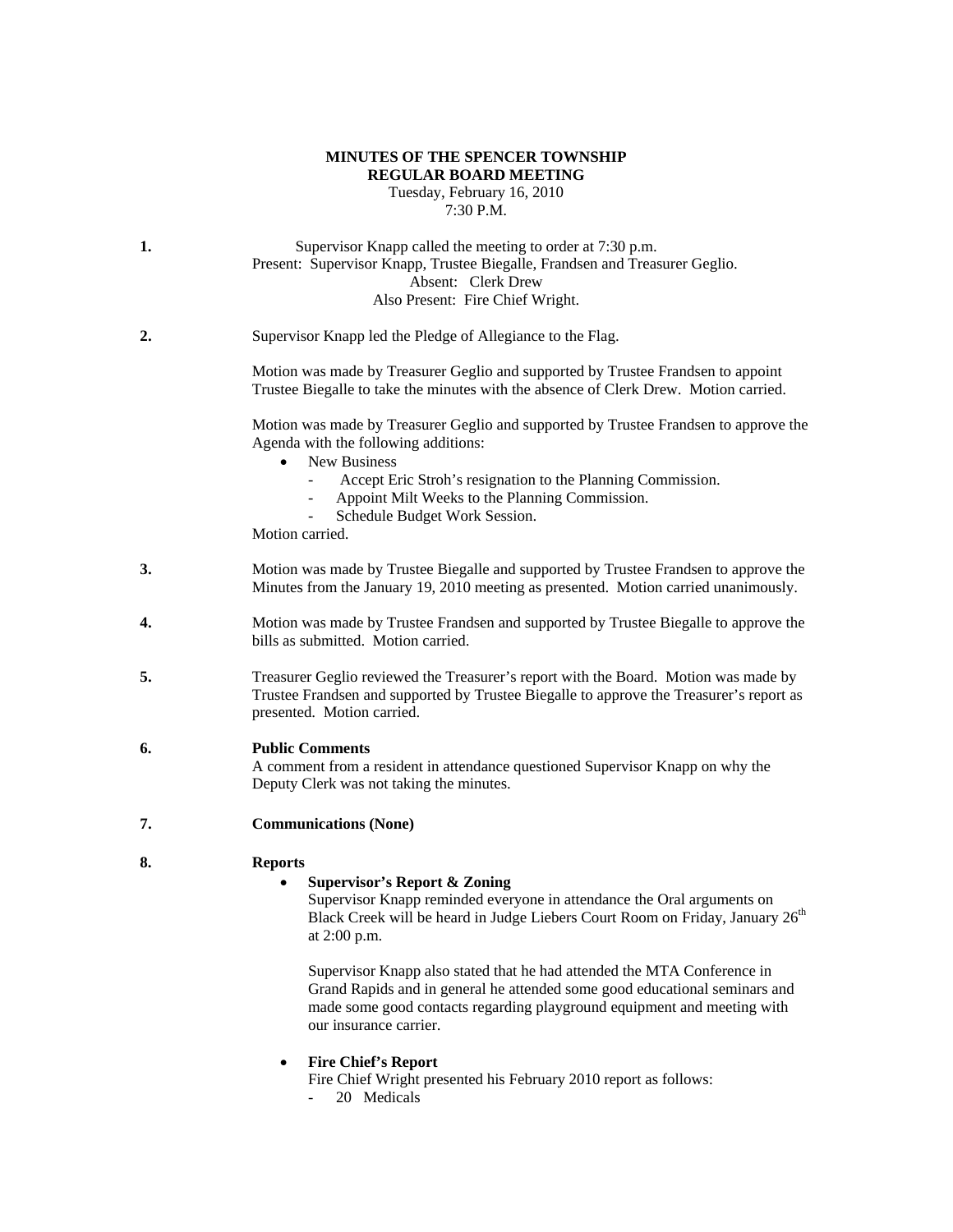### **MINUTES OF THE SPENCER TOWNSHIP REGULAR BOARD MEETING** Tuesday, February 16, 2010

7:30 P.M.

- **1.** Supervisor Knapp called the meeting to order at 7:30 p.m. Present: Supervisor Knapp, Trustee Biegalle, Frandsen and Treasurer Geglio. Absent: Clerk Drew Also Present: Fire Chief Wright.
- **2.** Supervisor Knapp led the Pledge of Allegiance to the Flag.

Motion was made by Treasurer Geglio and supported by Trustee Frandsen to appoint Trustee Biegalle to take the minutes with the absence of Clerk Drew. Motion carried.

Motion was made by Treasurer Geglio and supported by Trustee Frandsen to approve the Agenda with the following additions:

- New Business
	- Accept Eric Stroh's resignation to the Planning Commission.
	- Appoint Milt Weeks to the Planning Commission.
	- Schedule Budget Work Session.

Motion carried.

- **3.** Motion was made by Trustee Biegalle and supported by Trustee Frandsen to approve the Minutes from the January 19, 2010 meeting as presented. Motion carried unanimously.
- **4.** Motion was made by Trustee Frandsen and supported by Trustee Biegalle to approve the bills as submitted. Motion carried.
- **5.** Treasurer Geglio reviewed the Treasurer's report with the Board. Motion was made by Trustee Frandsen and supported by Trustee Biegalle to approve the Treasurer's report as presented. Motion carried.

# **6. Public Comments**

A comment from a resident in attendance questioned Supervisor Knapp on why the Deputy Clerk was not taking the minutes.

**7. Communications (None)** 

# **8. Reports**

# • **Supervisor's Report & Zoning**

Supervisor Knapp reminded everyone in attendance the Oral arguments on Black Creek will be heard in Judge Liebers Court Room on Friday, January 26<sup>th</sup> at 2:00 p.m.

Supervisor Knapp also stated that he had attended the MTA Conference in Grand Rapids and in general he attended some good educational seminars and made some good contacts regarding playground equipment and meeting with our insurance carrier.

• **Fire Chief's Report**

Fire Chief Wright presented his February 2010 report as follows:

20 Medicals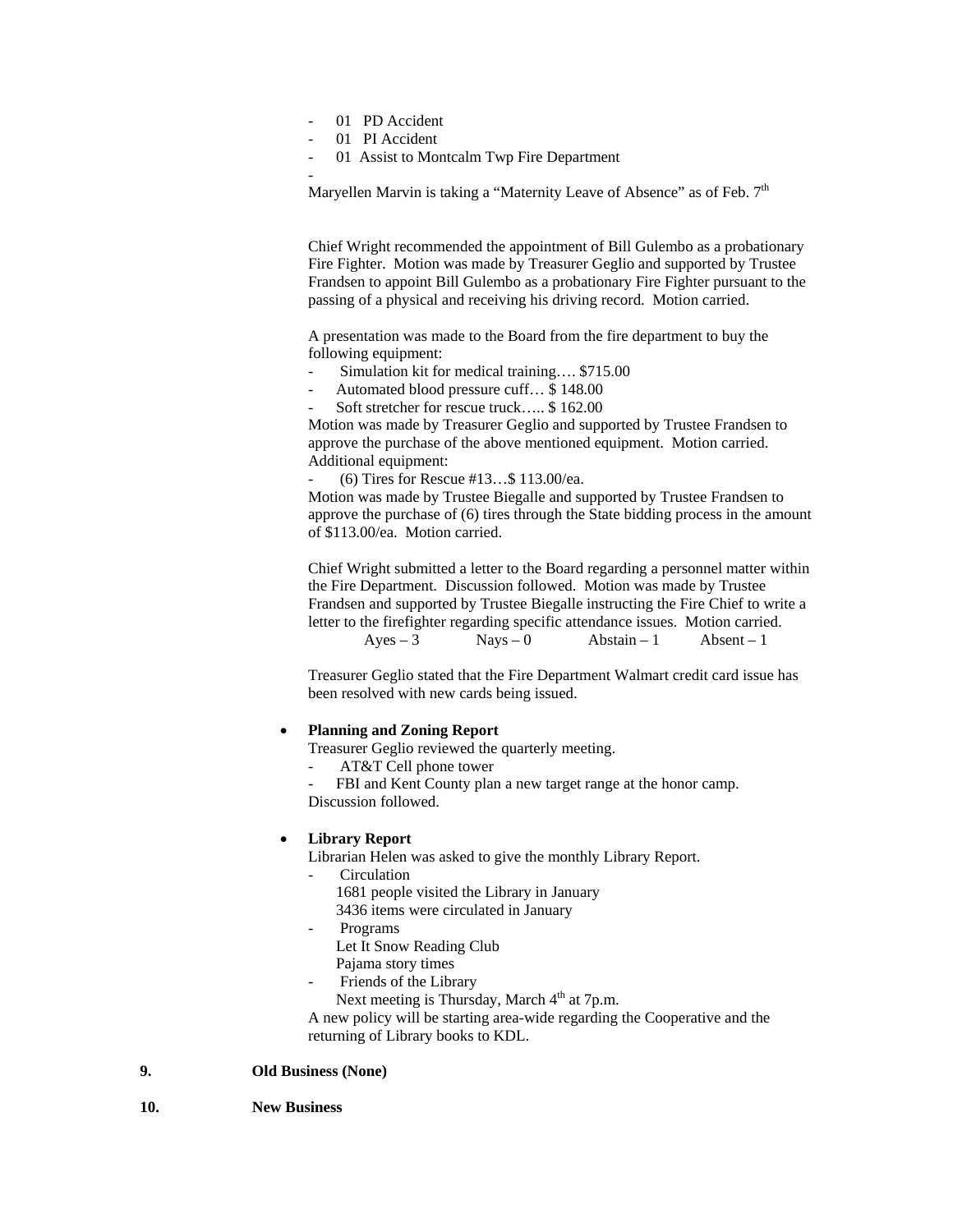- 01 PD Accident
- 01 PI Accident

-

01 Assist to Montcalm Twp Fire Department

Maryellen Marvin is taking a "Maternity Leave of Absence" as of Feb.  $7<sup>th</sup>$ 

Chief Wright recommended the appointment of Bill Gulembo as a probationary Fire Fighter. Motion was made by Treasurer Geglio and supported by Trustee Frandsen to appoint Bill Gulembo as a probationary Fire Fighter pursuant to the passing of a physical and receiving his driving record. Motion carried.

A presentation was made to the Board from the fire department to buy the following equipment:

- Simulation kit for medical training…. \$715.00
- Automated blood pressure cuff… \$ 148.00
- Soft stretcher for rescue truck..... \$ 162.00

Motion was made by Treasurer Geglio and supported by Trustee Frandsen to approve the purchase of the above mentioned equipment. Motion carried. Additional equipment:

- (6) Tires for Rescue #13…\$ 113.00/ea.

Motion was made by Trustee Biegalle and supported by Trustee Frandsen to approve the purchase of (6) tires through the State bidding process in the amount of \$113.00/ea. Motion carried.

Chief Wright submitted a letter to the Board regarding a personnel matter within the Fire Department. Discussion followed. Motion was made by Trustee Frandsen and supported by Trustee Biegalle instructing the Fire Chief to write a letter to the firefighter regarding specific attendance issues. Motion carried.  $Ayes - 3$  Nays – 0 Abstain – 1 Absent – 1

Treasurer Geglio stated that the Fire Department Walmart credit card issue has been resolved with new cards being issued.

#### • **Planning and Zoning Report**

Treasurer Geglio reviewed the quarterly meeting.

- AT&T Cell phone tower
- FBI and Kent County plan a new target range at the honor camp. Discussion followed.

#### • **Library Report**

Librarian Helen was asked to give the monthly Library Report.

- **Circulation** 
	- 1681 people visited the Library in January
	- 3436 items were circulated in January
- **Programs** 
	- Let It Snow Reading Club
	- Pajama story times
- Friends of the Library

Next meeting is Thursday, March 4<sup>th</sup> at 7p.m.

A new policy will be starting area-wide regarding the Cooperative and the returning of Library books to KDL.

#### **9. Old Business (None)**

**10. New Business**